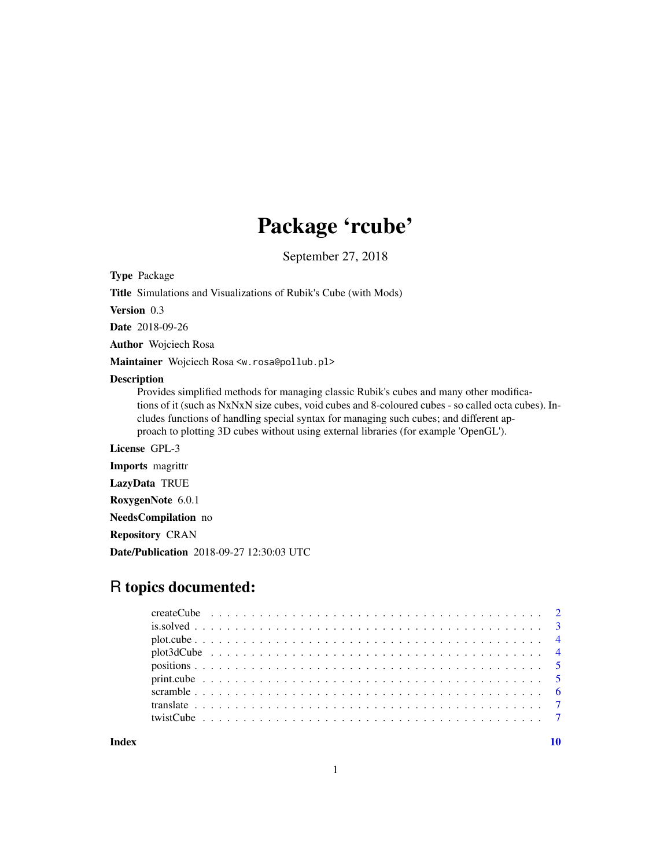## Package 'rcube'

September 27, 2018

Type Package

Title Simulations and Visualizations of Rubik's Cube (with Mods)

Version 0.3

Date 2018-09-26

Author Wojciech Rosa

Maintainer Wojciech Rosa <w.rosa@pollub.pl>

#### Description

Provides simplified methods for managing classic Rubik's cubes and many other modifications of it (such as NxNxN size cubes, void cubes and 8-coloured cubes - so called octa cubes). Includes functions of handling special syntax for managing such cubes; and different approach to plotting 3D cubes without using external libraries (for example 'OpenGL').

License GPL-3

Imports magrittr

LazyData TRUE

RoxygenNote 6.0.1

NeedsCompilation no

Repository CRAN

Date/Publication 2018-09-27 12:30:03 UTC

## R topics documented:

 $\blacksquare$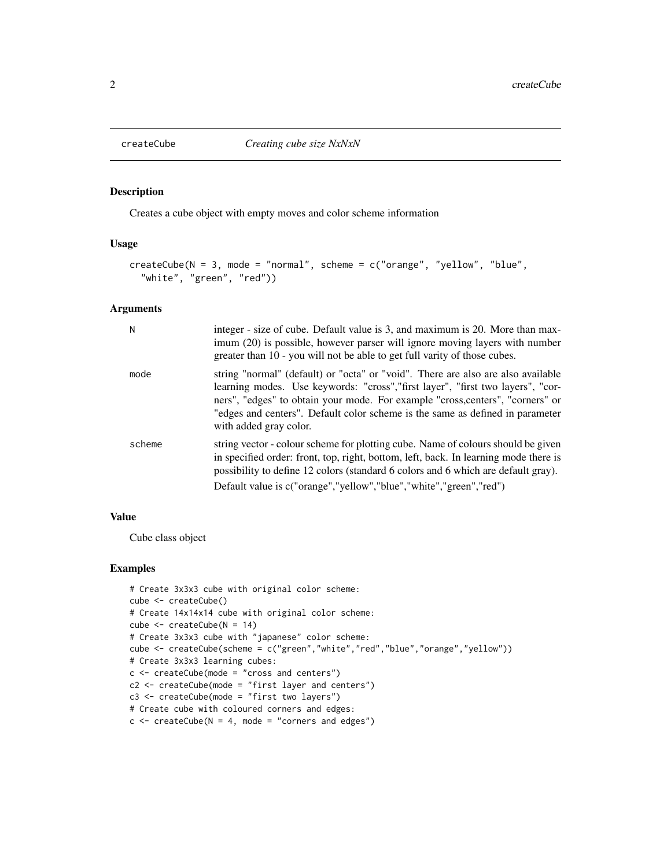<span id="page-1-0"></span>

Creates a cube object with empty moves and color scheme information

#### Usage

```
createCube(N = 3, mode = "normal", scheme = c("orange", "yellow", "blue",
  "white", "green", "red"))
```
#### Arguments

| N      | integer - size of cube. Default value is 3, and maximum is 20. More than max-<br>imum (20) is possible, however parser will ignore moving layers with number<br>greater than 10 - you will not be able to get full varity of those cubes.                                                                                                                        |
|--------|------------------------------------------------------------------------------------------------------------------------------------------------------------------------------------------------------------------------------------------------------------------------------------------------------------------------------------------------------------------|
| mode   | string "normal" (default) or "octa" or "void". There are also are also available<br>learning modes. Use keywords: "cross", "first layer", "first two layers", "cor-<br>ners", "edges" to obtain your mode. For example "cross, centers", "corners" or<br>"edges and centers". Default color scheme is the same as defined in parameter<br>with added gray color. |
| scheme | string vector - colour scheme for plotting cube. Name of colours should be given<br>in specified order: front, top, right, bottom, left, back. In learning mode there is<br>possibility to define 12 colors (standard 6 colors and 6 which are default gray).<br>Default value is c("orange","yellow","blue","white","green","red")                              |

#### Value

Cube class object

```
# Create 3x3x3 cube with original color scheme:
cube <- createCube()
# Create 14x14x14 cube with original color scheme:
cube <- createCube(N = 14)
# Create 3x3x3 cube with "japanese" color scheme:
cube <- createCube(scheme = c("green","white","red","blue","orange","yellow"))
# Create 3x3x3 learning cubes:
c <- createCube(mode = "cross and centers")
c2 <- createCube(mode = "first layer and centers")
c3 \le - createCube(mode = "first two layers")
# Create cube with coloured corners and edges:
c \le createCube(N = 4, mode = "corners and edges")
```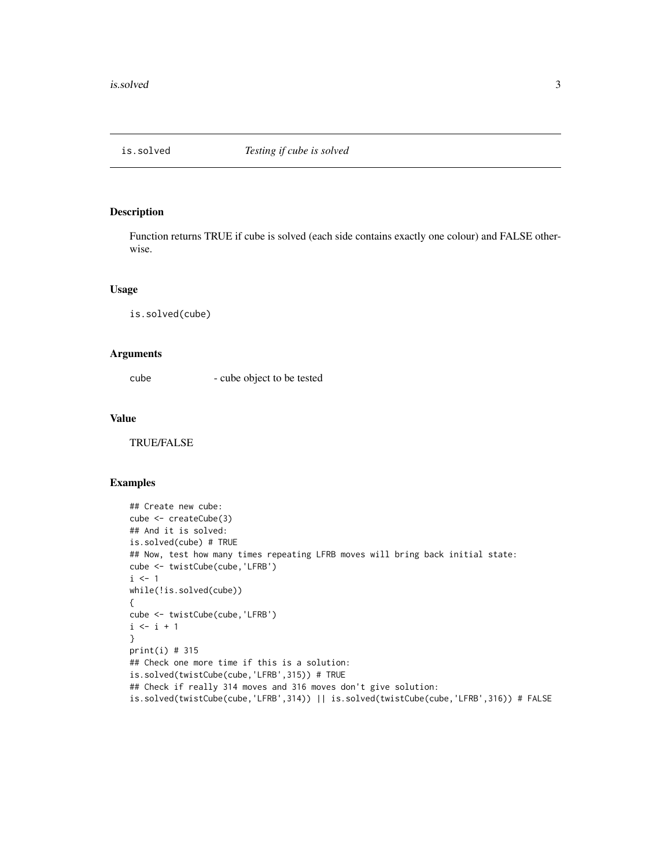<span id="page-2-0"></span>

Function returns TRUE if cube is solved (each side contains exactly one colour) and FALSE otherwise.

#### Usage

is.solved(cube)

#### Arguments

cube - cube object to be tested

#### Value

TRUE/FALSE

```
## Create new cube:
cube <- createCube(3)
## And it is solved:
is.solved(cube) # TRUE
## Now, test how many times repeating LFRB moves will bring back initial state:
cube <- twistCube(cube,'LFRB')
i \leq 1while(!is.solved(cube))
{
cube <- twistCube(cube,'LFRB')
i \le i + 1}
print(i) # 315
## Check one more time if this is a solution:
is.solved(twistCube(cube,'LFRB',315)) # TRUE
## Check if really 314 moves and 316 moves don't give solution:
is.solved(twistCube(cube,'LFRB',314)) || is.solved(twistCube(cube,'LFRB',316)) # FALSE
```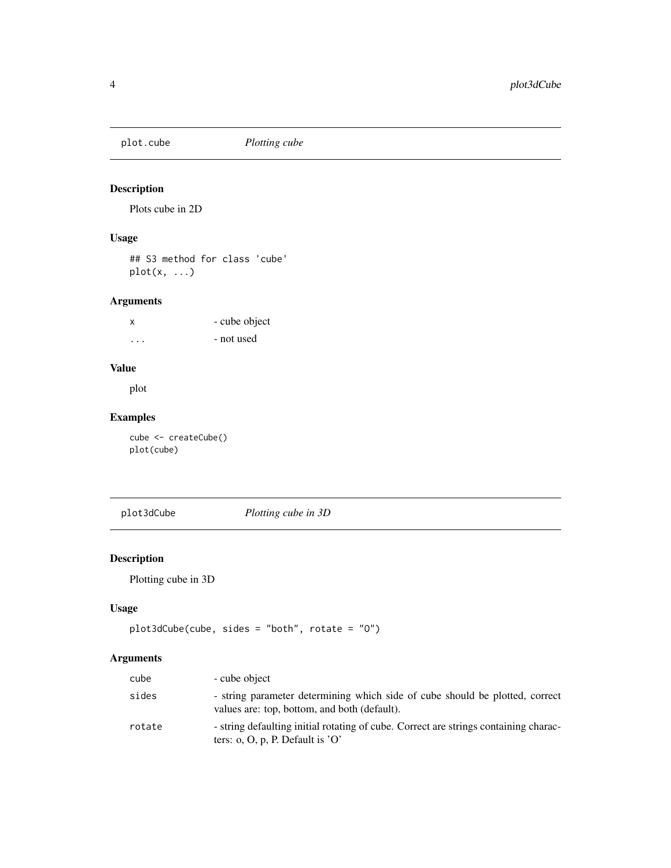<span id="page-3-0"></span>

Plots cube in 2D

#### Usage

## S3 method for class 'cube' plot(x, ...)

#### Arguments

| X       | - cube object |
|---------|---------------|
| $\cdot$ | - not used    |

#### Value

plot

#### Examples

cube <- createCube() plot(cube)

plot3dCube *Plotting cube in 3D*

#### Description

Plotting cube in 3D

#### Usage

```
plot3dCube(cube, sides = "both", rotate = "O")
```
#### Arguments

| cube   | - cube object                                                                                                                |
|--------|------------------------------------------------------------------------------------------------------------------------------|
| sides  | - string parameter determining which side of cube should be plotted, correct<br>values are: top, bottom, and both (default). |
| rotate | - string defaulting initial rotating of cube. Correct are strings containing charac-<br>ters: o, O, p, P. Default is $'O'$   |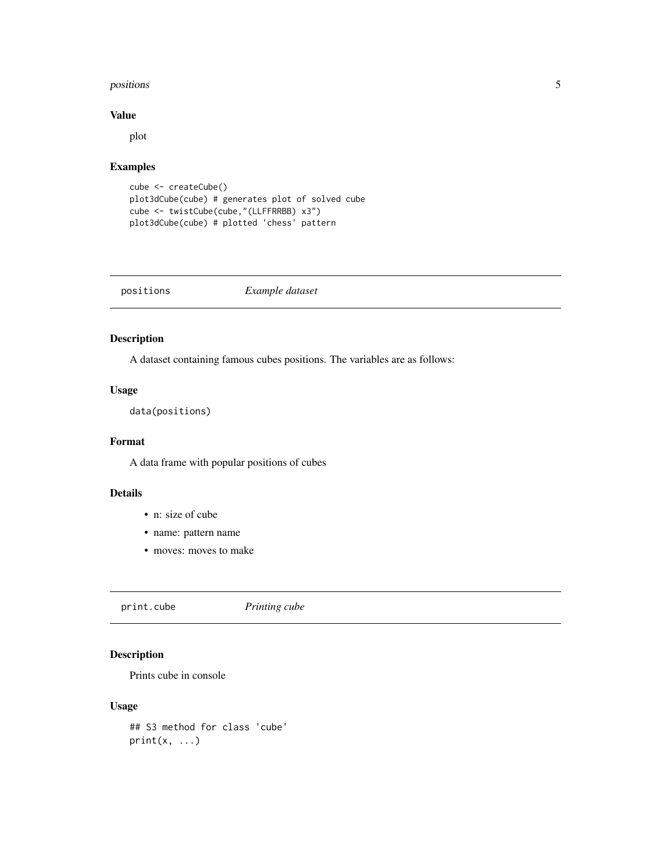#### <span id="page-4-0"></span>positions 5 to 10 minutes and 20 minutes of the contract of the contract of the contract of the contract of the contract of the contract of the contract of the contract of the contract of the contract of the contract of th

#### Value

plot

#### Examples

```
cube <- createCube()
plot3dCube(cube) # generates plot of solved cube
cube <- twistCube(cube,"(LLFFRRBB) x3")
plot3dCube(cube) # plotted 'chess' pattern
```
positions *Example dataset*

#### Description

A dataset containing famous cubes positions. The variables are as follows:

#### Usage

data(positions)

#### Format

A data frame with popular positions of cubes

#### Details

- n: size of cube
- name: pattern name
- moves: moves to make

print.cube *Printing cube*

#### Description

Prints cube in console

#### Usage

## S3 method for class 'cube'  $print(x, \ldots)$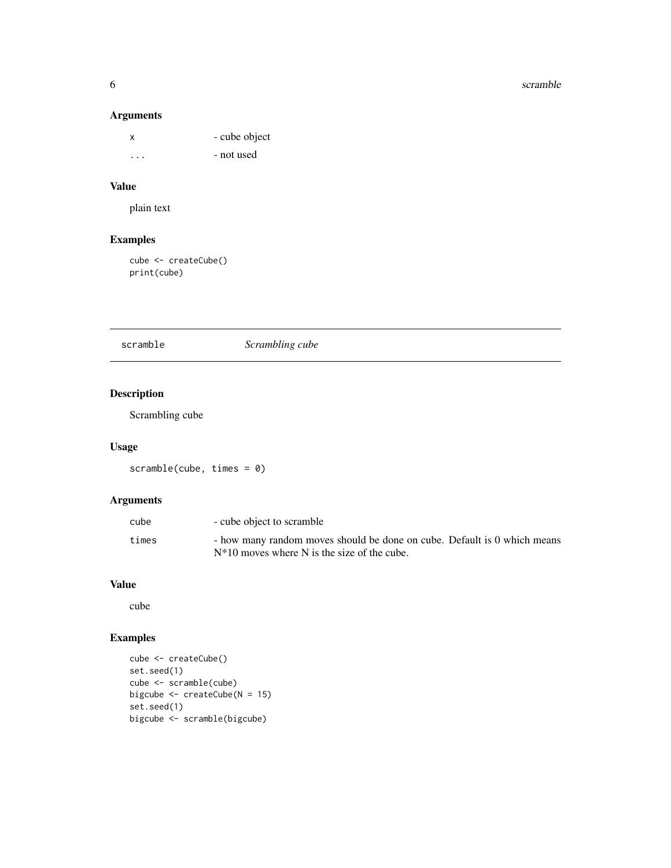#### 6 scramble scramble scramble scramble scramble scramble scramble scramble scramble

#### Arguments

| x       | - cube object |
|---------|---------------|
| $\cdot$ | - not used    |

#### Value

plain text

#### Examples

cube <- createCube() print(cube)

#### scramble *Scrambling cube*

#### Description

Scrambling cube

#### Usage

scramble(cube, times = 0)

#### Arguments

| cube  | - cube object to scramble                                                |
|-------|--------------------------------------------------------------------------|
| times | - how many random moves should be done on cube. Default is 0 which means |
|       | $N^*10$ moves where N is the size of the cube.                           |

#### Value

cube

```
cube <- createCube()
set.seed(1)
cube <- scramble(cube)
bigcube <- createCube(N = 15)
set.seed(1)
bigcube <- scramble(bigcube)
```
<span id="page-5-0"></span>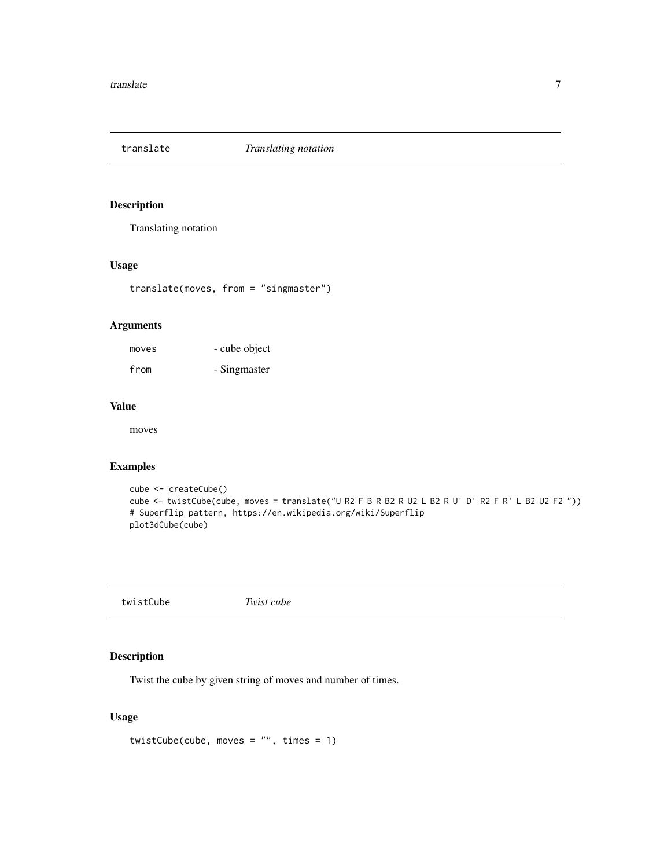<span id="page-6-0"></span>

Translating notation

#### Usage

translate(moves, from = "singmaster")

#### Arguments

moves - cube object from - Singmaster

#### Value

moves

#### Examples

```
cube <- createCube()
cube <- twistCube(cube, moves = translate("U R2 F B R B2 R U2 L B2 R U' D' R2 F R' L B2 U2 F2 "))
# Superflip pattern, https://en.wikipedia.org/wiki/Superflip
plot3dCube(cube)
```
twistCube *Twist cube*

#### Description

Twist the cube by given string of moves and number of times.

#### Usage

```
twistCube(cube, moves = "", times = 1)
```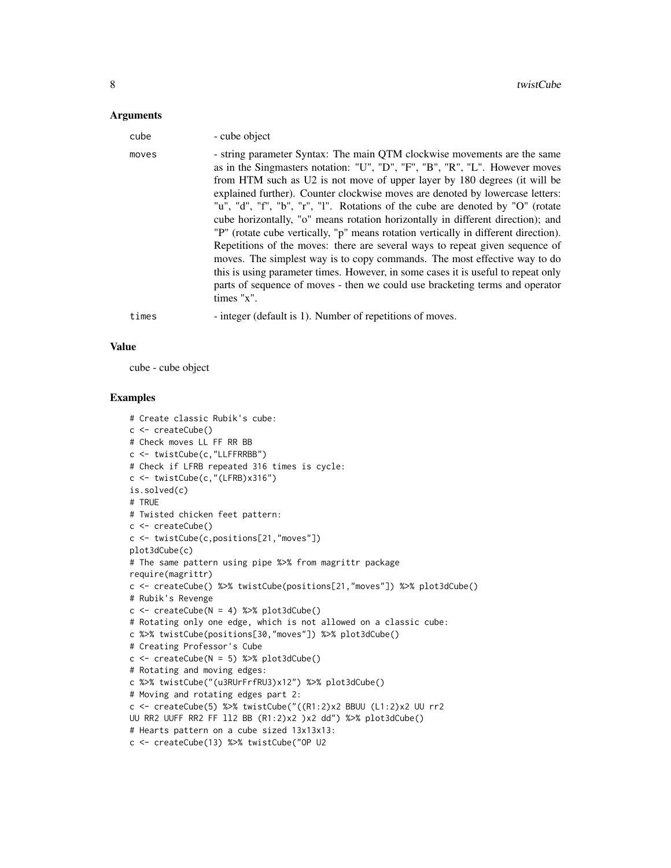#### **Arguments**

| cube  | - cube object                                                                                                                                                                                                                                                                                                                                                                                                                                                                                                                                                                                                                                                                                                                                                                                                                                                                                                                     |
|-------|-----------------------------------------------------------------------------------------------------------------------------------------------------------------------------------------------------------------------------------------------------------------------------------------------------------------------------------------------------------------------------------------------------------------------------------------------------------------------------------------------------------------------------------------------------------------------------------------------------------------------------------------------------------------------------------------------------------------------------------------------------------------------------------------------------------------------------------------------------------------------------------------------------------------------------------|
| moves | - string parameter Syntax: The main QTM clockwise movements are the same<br>as in the Singmasters notation: "U", "D", "F", "B", "R", "L". However moves<br>from HTM such as U2 is not move of upper layer by 180 degrees (it will be<br>explained further). Counter clockwise moves are denoted by lowercase letters:<br>"u", "d", "f", "b", "r", "l". Rotations of the cube are denoted by "O" (rotate<br>cube horizontally, "o" means rotation horizontally in different direction); and<br>"P" (rotate cube vertically, "p" means rotation vertically in different direction).<br>Repetitions of the moves: there are several ways to repeat given sequence of<br>moves. The simplest way is to copy commands. The most effective way to do<br>this is using parameter times. However, in some cases it is useful to repeat only<br>parts of sequence of moves - then we could use bracketing terms and operator<br>times "x". |
| times | - integer (default is 1). Number of repetitions of moves.                                                                                                                                                                                                                                                                                                                                                                                                                                                                                                                                                                                                                                                                                                                                                                                                                                                                         |

#### Value

cube - cube object

```
# Create classic Rubik's cube:
c <- createCube()
# Check moves LL FF RR BB
c <- twistCube(c,"LLFFRRBB")
# Check if LFRB repeated 316 times is cycle:
c <- twistCube(c,"(LFRB)x316")
is.solved(c)
# TRUE
# Twisted chicken feet pattern:
c <- createCube()
c <- twistCube(c,positions[21,"moves"])
plot3dCube(c)
# The same pattern using pipe %>% from magrittr package
require(magrittr)
c <- createCube() %>% twistCube(positions[21,"moves"]) %>% plot3dCube()
# Rubik's Revenge
c \le createCube(N = 4) %>% plot3dCube()
# Rotating only one edge, which is not allowed on a classic cube:
c %>% twistCube(positions[30,"moves"]) %>% plot3dCube()
# Creating Professor's Cube
c \le createCube(N = 5) %>% plot3dCube()
# Rotating and moving edges:
c %>% twistCube("(u3RUrFrfRU3)x12") %>% plot3dCube()
# Moving and rotating edges part 2:
c <- createCube(5) %>% twistCube("((R1:2)x2 BBUU (L1:2)x2 UU rr2
UU RR2 UUFF RR2 FF ll2 BB (R1:2)x2 )x2 dd") %>% plot3dCube()
# Hearts pattern on a cube sized 13x13x13:
c <- createCube(13) %>% twistCube("OP U2
```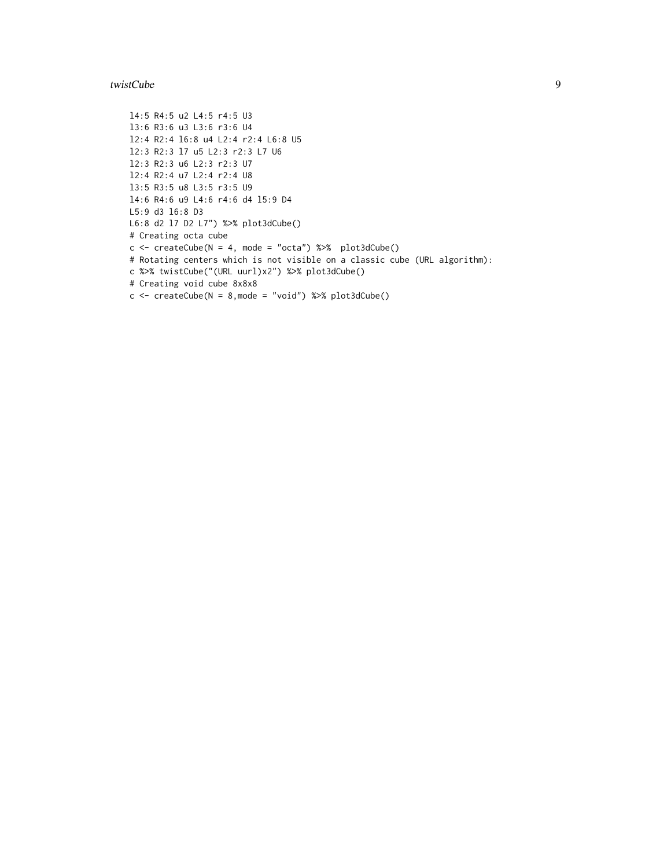#### twistCube 9

```
l4:5 R4:5 u2 L4:5 r4:5 U3
l3:6 R3:6 u3 L3:6 r3:6 U4
l2:4 R2:4 l6:8 u4 L2:4 r2:4 L6:8 U5
l2:3 R2:3 l7 u5 L2:3 r2:3 L7 U6
l2:3 R2:3 u6 L2:3 r2:3 U7
l2:4 R2:4 u7 L2:4 r2:4 U8
l3:5 R3:5 u8 L3:5 r3:5 U9
l4:6 R4:6 u9 L4:6 r4:6 d4 l5:9 D4
L5:9 d3 l6:8 D3
L6:8 d2 l7 D2 L7") %>% plot3dCube()
# Creating octa cube
c \le createCube(N = 4, mode = "octa") %>% plot3dCube()
# Rotating centers which is not visible on a classic cube (URL algorithm):
c %>% twistCube("(URL uurl)x2") %>% plot3dCube()
# Creating void cube 8x8x8
c \le createCube(N = 8, mode = "void") %\gg plot3dCube()
```